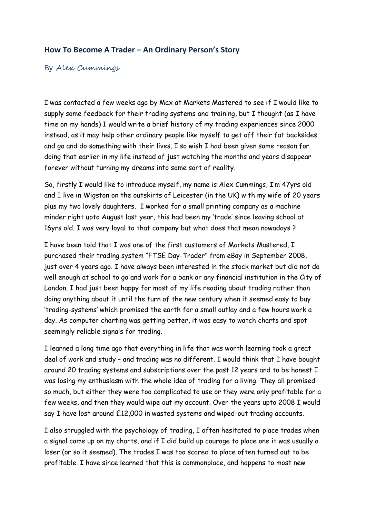## **How To Become A Trader – An Ordinary Person's Story**

## By Alex Cummings

I was contacted a few weeks ago by Max at Markets Mastered to see if I would like to supply some feedback for their trading systems and training, but I thought (as I have time on my hands) I would write a brief history of my trading experiences since 2000 instead, as it may help other ordinary people like myself to get off their fat backsides and go and do something with their lives. I so wish I had been given some reason for doing that earlier in my life instead of just watching the months and years disappear forever without turning my dreams into some sort of reality.

So, firstly I would like to introduce myself, my name is Alex Cummings, I'm 47yrs old and I live in Wigston on the outskirts of Leicester (in the UK) with my wife of 20 years plus my two lovely daughters. I worked for a small printing company as a machine minder right upto August last year, this had been my 'trade' since leaving school at 16yrs old. I was very loyal to that company but what does that mean nowadays ?

I have been told that I was one of the first customers of Markets Mastered, I purchased their trading system "FTSE Day-Trader" from eBay in September 2008, just over 4 years ago. I have always been interested in the stock market but did not do well enough at school to go and work for a bank or any financial institution in the City of London. I had just been happy for most of my life reading about trading rather than doing anything about it until the turn of the new century when it seemed easy to buy 'trading-systems' which promised the earth for a small outlay and a few hours work a day. As computer charting was getting better, it was easy to watch charts and spot seemingly reliable signals for trading.

I learned a long time ago that everything in life that was worth learning took a great deal of work and study – and trading was no different. I would think that I have bought around 20 trading systems and subscriptions over the past 12 years and to be honest I was losing my enthusiasm with the whole idea of trading for a living. They all promised so much, but either they were too complicated to use or they were only profitable for a few weeks, and then they would wipe out my account. Over the years upto 2008 I would say I have lost around £12,000 in wasted systems and wiped-out trading accounts.

I also struggled with the psychology of trading, I often hesitated to place trades when a signal came up on my charts, and if I did build up courage to place one it was usually a loser (or so it seemed). The trades I was too scared to place often turned out to be profitable. I have since learned that this is commonplace, and happens to most new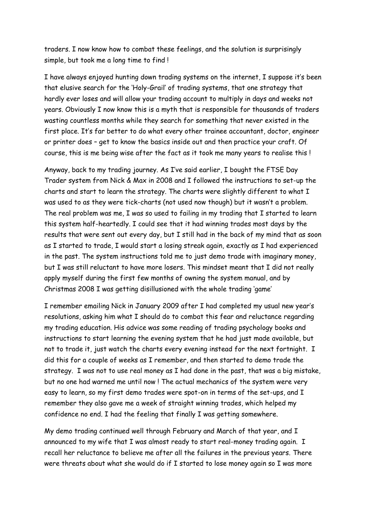traders. I now know how to combat these feelings, and the solution is surprisingly simple, but took me a long time to find !

I have always enjoyed hunting down trading systems on the internet, I suppose it's been that elusive search for the 'Holy-Grail' of trading systems, that one strategy that hardly ever loses and will allow your trading account to multiply in days and weeks not years. Obviously I now know this is a myth that is responsible for thousands of traders wasting countless months while they search for something that never existed in the first place. It's far better to do what every other trainee accountant, doctor, engineer or printer does – get to know the basics inside out and then practice your craft. Of course, this is me being wise after the fact as it took me many years to realise this !

Anyway, back to my trading journey. As I've said earlier, I bought the FTSE Day Trader system from Nick & Max in 2008 and I followed the instructions to set-up the charts and start to learn the strategy. The charts were slightly different to what I was used to as they were tick-charts (not used now though) but it wasn't a problem. The real problem was me, I was so used to failing in my trading that I started to learn this system half-heartedly. I could see that it had winning trades most days by the results that were sent out every day, but I still had in the back of my mind that as soon as I started to trade, I would start a losing streak again, exactly as I had experienced in the past. The system instructions told me to just demo trade with imaginary money, but I was still reluctant to have more losers. This mindset meant that I did not really apply myself during the first few months of owning the system manual, and by Christmas 2008 I was getting disillusioned with the whole trading 'game'

I remember emailing Nick in January 2009 after I had completed my usual new year's resolutions, asking him what I should do to combat this fear and reluctance regarding my trading education. His advice was some reading of trading psychology books and instructions to start learning the evening system that he had just made available, but not to trade it, just watch the charts every evening instead for the next fortnight. I did this for a couple of weeks as I remember, and then started to demo trade the strategy. I was not to use real money as I had done in the past, that was a big mistake, but no one had warned me until now ! The actual mechanics of the system were very easy to learn, so my first demo trades were spot-on in terms of the set-ups, and I remember they also gave me a week of straight winning trades, which helped my confidence no end. I had the feeling that finally I was getting somewhere.

My demo trading continued well through February and March of that year, and I announced to my wife that I was almost ready to start real-money trading again. I recall her reluctance to believe me after all the failures in the previous years. There were threats about what she would do if I started to lose money again so I was more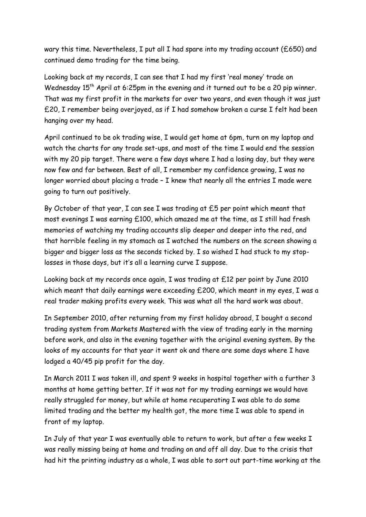wary this time. Nevertheless, I put all I had spare into my trading account (£650) and continued demo trading for the time being.

Looking back at my records, I can see that I had my first 'real money' trade on Wednesday 15<sup>th</sup> April at 6:25pm in the evening and it turned out to be a 20 pip winner. That was my first profit in the markets for over two years, and even though it was just £20, I remember being overjoyed, as if I had somehow broken a curse I felt had been hanging over my head.

April continued to be ok trading wise, I would get home at 6pm, turn on my laptop and watch the charts for any trade set-ups, and most of the time I would end the session with my 20 pip target. There were a few days where I had a losing day, but they were now few and far between. Best of all, I remember my confidence growing, I was no longer worried about placing a trade – I knew that nearly all the entries I made were going to turn out positively.

By October of that year, I can see I was trading at £5 per point which meant that most evenings I was earning £100, which amazed me at the time, as I still had fresh memories of watching my trading accounts slip deeper and deeper into the red, and that horrible feeling in my stomach as I watched the numbers on the screen showing a bigger and bigger loss as the seconds ticked by. I so wished I had stuck to my stoplosses in those days, but it's all a learning curve I suppose.

Looking back at my records once again, I was trading at £12 per point by June 2010 which meant that daily earnings were exceeding £200, which meant in my eyes, I was a real trader making profits every week. This was what all the hard work was about.

In September 2010, after returning from my first holiday abroad, I bought a second trading system from Markets Mastered with the view of trading early in the morning before work, and also in the evening together with the original evening system. By the looks of my accounts for that year it went ok and there are some days where I have lodged a 40/45 pip profit for the day.

In March 2011 I was taken ill, and spent 9 weeks in hospital together with a further 3 months at home getting better. If it was not for my trading earnings we would have really struggled for money, but while at home recuperating I was able to do some limited trading and the better my health got, the more time I was able to spend in front of my laptop.

In July of that year I was eventually able to return to work, but after a few weeks I was really missing being at home and trading on and off all day. Due to the crisis that had hit the printing industry as a whole, I was able to sort out part-time working at the